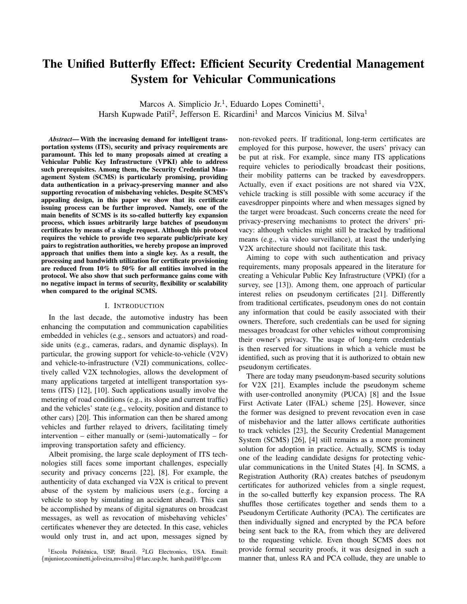# The Unified Butterfly Effect: Efficient Security Credential Management System for Vehicular Communications

Marcos A. Simplicio Jr.<sup>1</sup>, Eduardo Lopes Cominetti<sup>1</sup>, Harsh Kupwade Patil<sup>2</sup>, Jefferson E. Ricardini<sup>1</sup> and Marcos Vinicius M. Silva<sup>1</sup>

*Abstract*— With the increasing demand for intelligent transportation systems (ITS), security and privacy requirements are paramount. This led to many proposals aimed at creating a Vehicular Public Key Infrastructure (VPKI) able to address such prerequisites. Among them, the Security Credential Management System (SCMS) is particularly promising, providing data authentication in a privacy-preserving manner and also supporting revocation of misbehaving vehicles. Despite SCMS's appealing design, in this paper we show that its certificate issuing process can be further improved. Namely, one of the main benefits of SCMS is its so-called butterfly key expansion process, which issues arbitrarily large batches of pseudonym certificates by means of a single request. Although this protocol requires the vehicle to provide two separate public/private key pairs to registration authorities, we hereby propose an improved approach that unifies them into a single key. As a result, the processing and bandwidth utilization for certificate provisioning are reduced from 10% to 50% for all entities involved in the protocol. We also show that such performance gains come with no negative impact in terms of security, flexibility or scalability when compared to the original SCMS.

# I. INTRODUCTION

In the last decade, the automotive industry has been enhancing the computation and communication capabilities embedded in vehicles (e.g., sensors and actuators) and roadside units (e.g., cameras, radars, and dynamic displays). In particular, the growing support for vehicle-to-vehicle (V2V) and vehicle-to-infrastructure (V2I) communications, collectively called V2X technologies, allows the development of many applications targeted at intelligent transportation systems (ITS) [12], [10]. Such applications usually involve the metering of road conditions (e.g., its slope and current traffic) and the vehicles' state (e.g., velocity, position and distance to other cars) [20]. This information can then be shared among vehicles and further relayed to drivers, facilitating timely intervention – either manually or (semi-)automatically – for improving transportation safety and efficiency.

Albeit promising, the large scale deployment of ITS technologies still faces some important challenges, especially security and privacy concerns [22], [8]. For example, the authenticity of data exchanged via V2X is critical to prevent abuse of the system by malicious users (e.g., forcing a vehicle to stop by simulating an accident ahead). This can be accomplished by means of digital signatures on broadcast messages, as well as revocation of misbehaving vehicles' certificates whenever they are detected. In this case, vehicles would only trust in, and act upon, messages signed by

non-revoked peers. If traditional, long-term certificates are employed for this purpose, however, the users' privacy can be put at risk. For example, since many ITS applications require vehicles to periodically broadcast their positions, their mobility patterns can be tracked by eavesdroppers. Actually, even if exact positions are not shared via V2X, vehicle tracking is still possible with some accuracy if the eavesdropper pinpoints where and when messages signed by the target were broadcast. Such concerns create the need for privacy-preserving mechanisms to protect the drivers' privacy: although vehicles might still be tracked by traditional means (e.g., via video surveillance), at least the underlying V2X architecture should not facilitate this task.

Aiming to cope with such authentication and privacy requirements, many proposals appeared in the literature for creating a Vehicular Public Key Infrastructure (VPKI) (for a survey, see [13]). Among them, one approach of particular interest relies on pseudonym certificates [21]. Differently from traditional certificates, pseudonym ones do not contain any information that could be easily associated with their owners. Therefore, such credentials can be used for signing messages broadcast for other vehicles without compromising their owner's privacy. The usage of long-term credentials is then reserved for situations in which a vehicle must be identified, such as proving that it is authorized to obtain new pseudonym certificates.

There are today many pseudonym-based security solutions for V2X [21]. Examples include the pseudonym scheme with user-controlled anonymity (PUCA) [8] and the Issue First Activate Later (IFAL) scheme [25]. However, since the former was designed to prevent revocation even in case of misbehavior and the latter allows certificate authorities to track vehicles [23], the Security Credential Management System (SCMS) [26], [4] still remains as a more prominent solution for adoption in practice. Actually, SCMS is today one of the leading candidate designs for protecting vehicular communications in the United States [4]. In SCMS, a Registration Authority (RA) creates batches of pseudonym certificates for authorized vehicles from a single request, in the so-called butterfly key expansion process. The RA shuffles those certificates together and sends them to a Pseudonym Certificate Authority (PCA). The certificates are then individually signed and encrypted by the PCA before being sent back to the RA, from which they are delivered to the requesting vehicle. Even though SCMS does not provide formal security proofs, it was designed in such a manner that, unless RA and PCA collude, they are unable to

<sup>&</sup>lt;sup>1</sup>Escola Politénica, USP, Brazil. <sup>2</sup>LG Electronics, USA. Email: {mjunior,ecominetti,joliveira,mvsilva}@larc.usp.br, harsh.patil@lge.com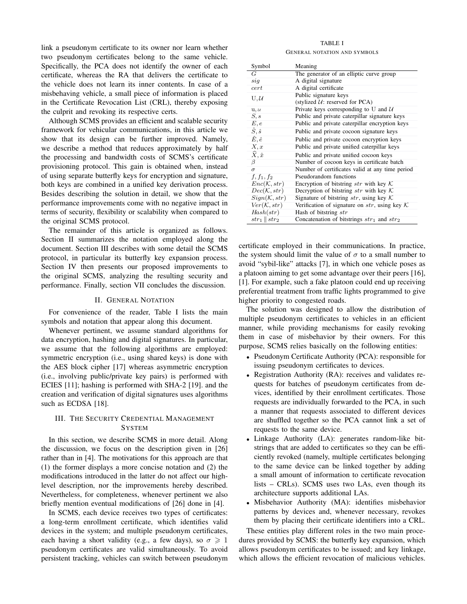link a pseudonym certificate to its owner nor learn whether two pseudonym certificates belong to the same vehicle. Specifically, the PCA does not identify the owner of each certificate, whereas the RA that delivers the certificate to the vehicle does not learn its inner contents. In case of a misbehaving vehicle, a small piece of information is placed in the Certificate Revocation List (CRL), thereby exposing the culprit and revoking its respective certs.

Although SCMS provides an efficient and scalable security framework for vehicular communications, in this article we show that its design can be further improved. Namely, we describe a method that reduces approximately by half the processing and bandwidth costs of SCMS's certificate provisioning protocol. This gain is obtained when, instead of using separate butterfly keys for encryption and signature, both keys are combined in a unified key derivation process. Besides describing the solution in detail, we show that the performance improvements come with no negative impact in terms of security, flexibility or scalability when compared to the original SCMS protocol.

The remainder of this article is organized as follows. Section II summarizes the notation employed along the document. Section III describes with some detail the SCMS protocol, in particular its butterfly key expansion process. Section IV then presents our proposed improvements to the original SCMS, analyzing the resulting security and performance. Finally, section VII concludes the discussion.

# II. GENERAL NOTATION

For convenience of the reader, Table I lists the main symbols and notation that appear along this document.

Whenever pertinent, we assume standard algorithms for data encryption, hashing and digital signatures. In particular, we assume that the following algorithms are employed: symmetric encryption (i.e., using shared keys) is done with the AES block cipher [17] whereas asymmetric encryption (i.e., involving public/private key pairs) is performed with ECIES [11]; hashing is performed with SHA-2 [19]. and the creation and verification of digital signatures uses algorithms such as ECDSA [18].

# III. THE SECURITY CREDENTIAL MANAGEMENT **SYSTEM**

In this section, we describe SCMS in more detail. Along the discussion, we focus on the description given in [26] rather than in [4]. The motivations for this approach are that (1) the former displays a more concise notation and (2) the modifications introduced in the latter do not affect our highlevel description, nor the improvements hereby described. Nevertheless, for completeness, whenever pertinent we also briefly mention eventual modifications of [26] done in [4].

In SCMS, each device receives two types of certificates: a long-term enrollment certificate, which identifies valid devices in the system; and multiple pseudonym certificates, each having a short validity (e.g., a few days), so  $\sigma \geq 1$ pseudonym certificates are valid simultaneously. To avoid persistent tracking, vehicles can switch between pseudonym

### TABLE I

#### GENERAL NOTATION AND SYMBOLS

| Symbol                     | Meaning                                            |
|----------------------------|----------------------------------------------------|
| G                          | The generator of an elliptic curve group           |
| sig                        | A digital signature                                |
| cert                       | A digital certificate                              |
| U, U                       | Public signature keys                              |
|                            | (stylized $U$ : reserved for PCA)                  |
| u, u                       | Private keys corresponding to U and $U$            |
| S, s                       | Public and private caterpillar signature keys      |
| E, e                       | Public and private caterpillar encryption keys     |
| $\hat{S}, \hat{s}$         | Public and private cocoon signature keys           |
| $\hat{E}, \hat{e}$         | Public and private cocoon encryption keys          |
| X, x                       | Public and private unified caterpillar keys        |
| $\widehat{X}, \widehat{x}$ | Public and private unified cocoon keys             |
| β                          | Number of cocoon keys in certificate batch         |
| $\sigma$                   | Number of certificates valid at any time period    |
| $f, f_1, f_2$              | Pseudorandom functions                             |
| Enc(K, str)                | Encryption of bitstring $str$ with key $K$         |
| Dec(K, str)                | Decryption of bitstring str with key $K$           |
| Sign(K, str)               | Signature of bitstring str, using key $K$          |
| Ver(K, str)                | Verification of signature on $str$ , using key $K$ |
| Hash(str)                  | Hash of bitstring str                              |
| $str_1 \parallel str_2$    | Concatenation of bitstrings $str_1$ and $str_2$    |

certificate employed in their communications. In practice, the system should limit the value of  $\sigma$  to a small number to avoid "sybil-like" attacks [7], in which one vehicle poses as a platoon aiming to get some advantage over their peers [16], [1]. For example, such a fake platoon could end up receiving preferential treatment from traffic lights programmed to give higher priority to congested roads.

The solution was designed to allow the distribution of multiple pseudonym certificates to vehicles in an efficient manner, while providing mechanisms for easily revoking them in case of misbehavior by their owners. For this purpose, SCMS relies basically on the following entities:

- Pseudonym Certificate Authority (PCA): responsible for issuing pseudonym certificates to devices.
- Registration Authority (RA): receives and validates requests for batches of pseudonym certificates from devices, identified by their enrollment certificates. Those requests are individually forwarded to the PCA, in such a manner that requests associated to different devices are shuffled together so the PCA cannot link a set of requests to the same device.
- Linkage Authority (LA): generates random-like bitstrings that are added to certificates so they can be efficiently revoked (namely, multiple certificates belonging to the same device can be linked together by adding a small amount of information to certificate revocation lists – CRLs). SCMS uses two LAs, even though its architecture supports additional LAs.
- Misbehavior Authority (MA): identifies misbehavior patterns by devices and, whenever necessary, revokes them by placing their certificate identifiers into a CRL.

These entities play different roles in the two main procedures provided by SCMS: the butterfly key expansion, which allows pseudonym certificates to be issued; and key linkage, which allows the efficient revocation of malicious vehicles.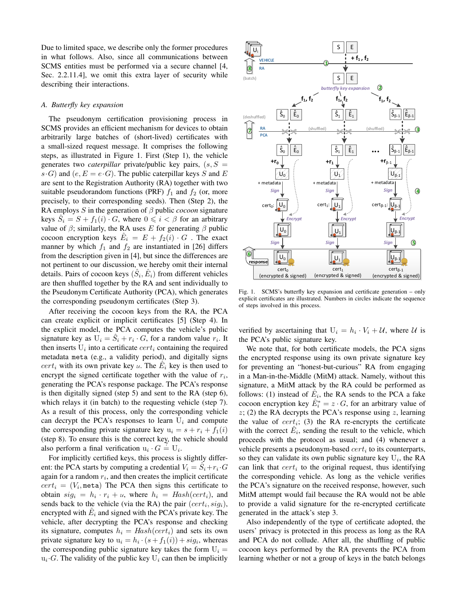Due to limited space, we describe only the former procedures in what follows. Also, since all communications between SCMS entities must be performed via a secure channel [4, Sec. 2.2.11.4], we omit this extra layer of security while describing their interactions.

# *A. Butterfly key expansion*

The pseudonym certification provisioning process in SCMS provides an efficient mechanism for devices to obtain arbitrarily large batches of (short-lived) certificates with a small-sized request message. It comprises the following steps, as illustrated in Figure 1. First (Step 1), the vehicle generates two *caterpillar* private/public key pairs,  $(s, S =$  $s \cdot G$ ) and  $(e, E = e \cdot G)$ . The public caterpillar keys S and E are sent to the Registration Authority (RA) together with two suitable pseudorandom functions (PRF)  $f_1$  and  $f_2$  (or, more precisely, to their corresponding seeds). Then (Step 2), the RA employs  $S$  in the generation of  $\beta$  public *cocoon* signature keys  $\hat{S}_i = S + f_1(i) \cdot G$ , where  $0 \leq i < \beta$  for an arbitrary value of  $\beta$ ; similarly, the RA uses E for generating  $\beta$  public cocoon encryption keys  $\hat{E}_i = E + f_2(i) \cdot G$ . The exact manner by which  $f_1$  and  $f_2$  are instantiated in [26] differs from the description given in [4], but since the differences are not pertinent to our discussion, we hereby omit their internal details. Pairs of cocoon keys  $(\hat{S}_i, \hat{E}_i)$  from different vehicles are then shuffled together by the RA and sent individually to the Pseudonym Certificate Authority (PCA), which generates the corresponding pseudonym certificates (Step 3).

After receiving the cocoon keys from the RA, the PCA can create explicit or implicit certificates [5] (Step 4). In the explicit model, the PCA computes the vehicle's public signature key as  $U_i = \hat{S}_i + r_i \cdot G$ , for a random value  $r_i$ . It then inserts  $U_i$  into a certificate  $cert_i$  containing the required metadata meta (e.g., a validity period), and digitally signs  $cert_i$  with its own private key u. The  $\hat{E}_i$  key is then used to encrypt the signed certificate together with the value of  $r_i$ , generating the PCA's response package. The PCA's response is then digitally signed (step 5) and sent to the RA (step 6), which relays it (in batch) to the requesting vehicle (step 7). As a result of this process, only the corresponding vehicle can decrypt the PCA's responses to learn  $U_i$  and compute the corresponding private signature key  $u_i = s + r_i + f_1(i)$ (step 8). To ensure this is the correct key, the vehicle should also perform a final verification  $u_i \cdot G = U_i$ .

For implicitly certified keys, this process is slightly different: the PCA starts by computing a credential  $V_i = \hat{S}_i + r_i \cdot G$ again for a random  $r_i$ , and then creates the implicit certificate  $cert_i = (V_i, \text{meta})$  The PCA then signs this certificate to obtain  $sig_i = h_i \cdot r_i + u$ , where  $h_i = Hash(cert_i)$ , and sends back to the vehicle (via the RA) the pair  $(cert_i, sig_i)$ , encrypted with  $\hat{E}_i$  and signed with the PCA's private key. The vehicle, after decrypting the PCA's response and checking its signature, computes  $h_i = Hash(cert_i)$  and sets its own private signature key to  $u_i = h_i \cdot (s + f_1(i)) + sig_i$ , whereas the corresponding public signature key takes the form  $U_i =$  $u_i$  G. The validity of the public key  $U_i$  can then be implicitly



Fig. 1. SCMS's butterfly key expansion and certificate generation – only explicit certificates are illustrated. Numbers in circles indicate the sequence of steps involved in this process.

verified by ascertaining that  $U_i = h_i \cdot V_i + \mathcal{U}$ , where  $\mathcal{U}$  is the PCA's public signature key.

We note that, for both certificate models, the PCA signs the encrypted response using its own private signature key for preventing an "honest-but-curious" RA from engaging in a Man-in-the-Middle (MitM) attack. Namely, without this signature, a MitM attack by the RA could be performed as follows: (1) instead of  $\hat{E}_i$ , the RA sends to the PCA a fake cocoon encryption key  $\hat{E}_i^* = z \cdot G$ , for an arbitrary value of  $z$ ; (2) the RA decrypts the PCA's response using  $z$ , learning the value of  $cert_i$ ; (3) the RA re-encrypts the certificate with the correct  $\hat{E}_i$ , sending the result to the vehicle, which proceeds with the protocol as usual; and (4) whenever a vehicle presents a pseudonym-based  $cert_i$  to its counterparts, so they can validate its own public signature key  $U_i$ , the RA can link that  $cert_i$  to the original request, thus identifying the corresponding vehicle. As long as the vehicle verifies the PCA's signature on the received response, however, such MitM attempt would fail because the RA would not be able to provide a valid signature for the re-encrypted certificate generated in the attack's step 3.

Also independently of the type of certificate adopted, the users' privacy is protected in this process as long as the RA and PCA do not collude. After all, the shuffling of public cocoon keys performed by the RA prevents the PCA from learning whether or not a group of keys in the batch belongs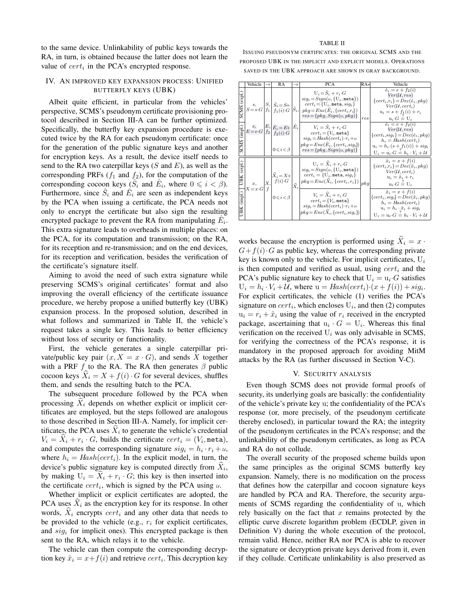#### TABLE II

to the same device. Unlinkability of public keys towards the RA, in turn, is obtained because the latter does not learn the value of  $cert_i$  in the PCA's encrypted response.

# IV. AN IMPROVED KEY EXPANSION PROCESS: UNIFIED BUTTERFLY KEYS (UBK)

Albeit quite efficient, in particular from the vehicles' perspective, SCMS's pseudonym certificate provisioning protocol described in Section III-A can be further optimized. Specifically, the butterfly key expansion procedure is executed twice by the RA for each pseudonym certificate: once for the generation of the public signature keys and another for encryption keys. As a result, the device itself needs to send to the RA two caterpillar keys  $(S \text{ and } E)$ , as well as the corresponding PRFs  $(f_1$  and  $f_2$ ), for the computation of the corresponding cocoon keys  $(\hat{S}_i$  and  $\hat{E}_i$ , where  $0 \leq i < \beta$ ). Furthermore, since  $\hat{S}_i$  and  $\hat{E}_i$  are seen as independent keys by the PCA when issuing a certificate, the PCA needs not only to encrypt the certificate but also sign the resulting encrypted package to prevent the RA from manipulating  $\hat{E}_i$ . This extra signature leads to overheads in multiple places: on the PCA, for its computation and transmission; on the RA, for its reception and re-transmission; and on the end devices, for its reception and verification, besides the verification of the certificate's signature itself.

Aiming to avoid the need of such extra signature while preserving SCMS's original certificates' format and also improving the overall efficiency of the certificate issuance procedure, we hereby propose a unified butterfly key (UBK) expansion process. In the proposed solution, described in what follows and summarized in Table II, the vehicle's request takes a single key. This leads to better efficiency without loss of security or functionality.

First, the vehicle generates a single caterpillar private/public key pair  $(x, X = x \cdot G)$ , and sends X together with a PRF  $f$  to the RA. The RA then generates  $\beta$  public cocoon keys  $X_i = X + f(i) \cdot G$  for several devices, shuffles them, and sends the resulting batch to the PCA.

The subsequent procedure followed by the PCA when processing  $X_i$  depends on whether explicit or implicit certificates are employed, but the steps followed are analogous to those described in Section III-A. Namely, for implicit certificates, the PCA uses  $X_i$  to generate the vehicle's credential  $V_i = X_i + r_i \cdot G$ , builds the certificate  $cert_i = (V_i, \text{meta}),$ and computes the corresponding signature  $sig_i = h_i \cdot r_i + u$ , where  $h_i = Hash(cert_i)$ . In the explicit model, in turn, the device's public signature key is computed directly from  $X_i$ , by making  $U_i = X_i + r_i \cdot G$ ; this key is then inserted into the certificate  $cert_i$ , which is signed by the PCA using  $u$ .

Whether implicit or explicit certificates are adopted, the PCA uses  $\hat{X}_i$  as the encryption key for its response. In other words,  $X_i$  encrypts  $cert_i$  and any other data that needs to be provided to the vehicle (e.g.,  $r_i$  for explicit certificates, and  $sig_i$  for implicit ones). This encrypted package is then sent to the RA, which relays it to the vehicle.

The vehicle can then compute the corresponding decryption key  $\hat{x}_i = x + f(i)$  and retrieve  $cert_i$ . This decryption key

ISSUING PSEUDONYM CERTIFICATES: THE ORIGINAL SCMS AND THE PROPOSED UBK IN THE IMPLICIT AND EXPLICIT MODELS. OPERATIONS SAVED IN THE UBK APPROACH ARE SHOWN IN GRAY BACKGROUND.

|             | Vehicle                     | →  | RA                                                                                             | $\rightarrow$   | <b>PCA</b>                                                                                                                                                                                                                                                                                                                     | $RA*$ | Vehicle                                                                                                                                                                                                                                                                                                                            |  |  |  |
|-------------|-----------------------------|----|------------------------------------------------------------------------------------------------|-----------------|--------------------------------------------------------------------------------------------------------------------------------------------------------------------------------------------------------------------------------------------------------------------------------------------------------------------------------|-------|------------------------------------------------------------------------------------------------------------------------------------------------------------------------------------------------------------------------------------------------------------------------------------------------------------------------------------|--|--|--|
| expl        | s,                          |    | $ S_1 \hat{S}_i = S+$<br>$S = s \cdot G  f_1  f_1(i) \cdot G$                                  | $ S_i $         | $U_i = \ddot{S}_i + r_i \cdot G$<br>$sig_i = Sign(u, \{U_i, \texttt{meta}\})$<br>$cert_i = \{U_i, \text{meta}, sig_i\}$<br>$pkg = Enc(\hat{E}_i, \{cert_i, r_i\})$<br>$res = \{pkg, Sign(u,pkg)\}\$                                                                                                                            | res   | $\hat{e}_i = e + f_2(i)$<br>$Ver(\mathcal{U}, res)$<br>$\{cert_i, r_i\} = Dec(\hat{e}_i, pkg)$<br>$Ver(\mathcal{U}, cert_i)$<br>$u_i = s + f_1(i) + r_i$<br>$u_i \cdot G = U_i$                                                                                                                                                    |  |  |  |
| n<br>E      | e,<br>$E = e \cdot G  f_2 $ |    | $\left E,\right \hat{E}_i = E + \left \hat{E}_i\right $<br>$f_2(i)$ G<br>$0 \leq i \leq \beta$ |                 | $V_i = S_i + r_i \cdot G$<br>$cert_i = \{V_i, \mathtt{meta}\}$<br>$sig_i = Hash(cert_i) \cdot r_i + u$<br>$pkg = Enc(\hat{E}_i, \{cert_i, sig_i\})$<br>$res = \{pkg, Sign(u,pkg)\}\$                                                                                                                                           |       | $\hat{e}_i = e + f_2(i)$<br>$Ver(\mathcal{U}, res)$<br>$\{cert_i, sig_i\} = Dec(\hat{e}_i, pkg)$<br>$h_i = Hash(cert_i)$<br>$u_i = h_i \cdot (s + f_1(i)) + sig_i$<br>$U_i = u_i \cdot G = h_i \cdot V_i + U$                                                                                                                      |  |  |  |
| expl<br>mpl | $x$ ,<br>$X = x \cdot G$    | Х, | $\hat{X}_i = X +$<br>$f(i)\cdot G$<br>$0 \leq i \leq \beta$                                    | $\widehat{X}_i$ | $U_i = \hat{X}_i + r_i \cdot G$<br>$sig_i = Sign(u, \{U_i, \texttt{meta}\})$<br>$cert_i = \{U_i, \texttt{meta}, sig_i\}$<br>$pkg\!=\!Enc(\widehat{X}_i,\{cert_i,r_i\})$<br>$V_i = \hat{X}_i + r_i \cdot G$<br>$cert_i = \{V_i, \mathtt{meta}\}$<br>$sig_i = Hash(cert_i) \cdot r_i + u$<br>$pkg = Enc(X_i, \{cert_i, sig_i\})$ | pkg   | $\hat{x}_i = x + f(i)$<br>$\{cert_i, r_i\} = Dec(\hat{x}_i, pkg)$<br>$Ver(\mathcal{U}, cert_i)$<br>$u_i = \hat{x}_i + r_i$<br>$u_i \cdot G = U_i$<br>$\hat{x}_i = x + f(i)$<br>$\{cert_i, sig_i\} = Dec(\hat{x}_i, pkg)$<br>$h_i = Hash(cert_i)$<br>$u_i = h_i \cdot \hat{x}_i + sig_i$<br>$U_i = u_i \cdot G = h_i \cdot V_i + U$ |  |  |  |

works because the encryption is performed using  $\hat{X}_i = x$ .  $G+f(i) \cdot G$  as public key, whereas the corresponding private key is known only to the vehicle. For implicit certificates,  $U_i$ is then computed and verified as usual, using  $cert_i$  and the PCA's public signature key to check that  $U_i = u_i \cdot G$  satisfies  $U_i = h_i \cdot V_i + \mathcal{U}$ , where  $u = Hash(cert_i) \cdot (x + f(i)) + sig_i$ . For explicit certificates, the vehicle (1) verifies the PCA's signature on  $cert_i$ , which encloses  $U_i$ , and then (2) computes  $u_i = r_i + \hat{x}_i$  using the value of  $r_i$  received in the encrypted package, ascertaining that  $u_i \cdot G = U_i$ . Whereas this final verification on the received  $U_i$  was only advisable in SCMS, for verifying the correctness of the PCA's response, it is mandatory in the proposed approach for avoiding MitM attacks by the RA (as further discussed in Section V-C).

#### V. SECURITY ANALYSIS

Even though SCMS does not provide formal proofs of security, its underlying goals are basically: the confidentiality of the vehicle's private key u; the confidentiality of the PCA's response (or, more precisely, of the pseudonym certificate thereby enclosed), in particular toward the RA; the integrity of the pseudonym certificates in the PCA's response; and the unlinkability of the pseudonym certificates, as long as PCA and RA do not collude.

The overall security of the proposed scheme builds upon the same principles as the original SCMS butterfly key expansion. Namely, there is no modification on the process that defines how the caterpillar and cocoon signature keys are handled by PCA and RA. Therefore, the security arguments of SCMS regarding the confidentiality of u, which rely basically on the fact that  $x$  remains protected by the elliptic curve discrete logarithm problem (ECDLP, given in Definition V) during the whole execution of the protocol, remain valid. Hence, neither RA nor PCA is able to recover the signature or decryption private keys derived from it, even if they collude. Certificate unlinkability is also preserved as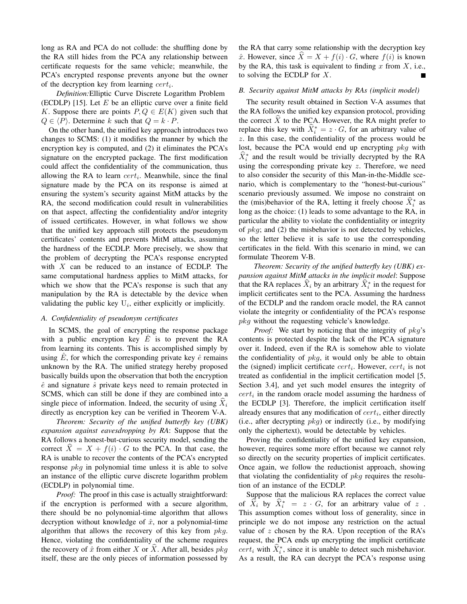long as RA and PCA do not collude: the shuffling done by the RA still hides from the PCA any relationship between certificate requests for the same vehicle; meanwhile, the PCA's encrypted response prevents anyone but the owner of the decryption key from learning  $cert_i$ .

*Definition:*Elliptic Curve Discrete Logarithm Problem (ECDLP) [15]. Let  $E$  be an elliptic curve over a finite field K. Suppose there are points  $P, Q \in E(K)$  given such that  $Q \in \langle P \rangle$ . Determine k such that  $Q = k \cdot P$ .

On the other hand, the unified key approach introduces two changes to SCMS: (1) it modifies the manner by which the encryption key is computed, and (2) it eliminates the PCA's signature on the encrypted package. The first modification could affect the confidentiality of the communication, thus allowing the RA to learn  $cert_i$ . Meanwhile, since the final signature made by the PCA on its response is aimed at ensuring the system's security against MitM attacks by the RA, the second modification could result in vulnerabilities on that aspect, affecting the confidentiality and/or integrity of issued certificates. However, in what follows we show that the unified key approach still protects the pseudonym certificates' contents and prevents MitM attacks, assuming the hardness of the ECDLP. More precisely, we show that the problem of decrypting the PCA's response encrypted with  $X$  can be reduced to an instance of ECDLP. The same computational hardness applies to MitM attacks, for which we show that the PCA's response is such that any manipulation by the RA is detectable by the device when validating the public key  $U_i$ , either explicitly or implicitly.

# *A. Confidentiality of pseudonym certificates*

In SCMS, the goal of encrypting the response package with a public encryption key  $E$  is to prevent the RA from learning its contents. This is accomplished simply by using  $E$ , for which the corresponding private key  $\hat{e}$  remains unknown by the RA. The unified strategy hereby proposed basically builds upon the observation that both the encryption  $\hat{e}$  and signature  $\hat{s}$  private keys need to remain protected in SCMS, which can still be done if they are combined into a single piece of information. Indeed, the security of using  $X_i$ directly as encryption key can be verified in Theorem V-A.

*Theorem: Security of the unified butterfly key (UBK) expansion against eavesdropping by RA*: Suppose that the RA follows a honest-but-curious security model, sending the correct  $\ddot{X} = X + f(i) \cdot G$  to the PCA. In that case, the RA is unable to recover the contents of the PCA's encrypted response  $pkq$  in polynomial time unless it is able to solve an instance of the elliptic curve discrete logarithm problem (ECDLP) in polynomial time.

*Proof:* The proof in this case is actually straightforward: if the encryption is performed with a secure algorithm, there should be no polynomial-time algorithm that allows decryption without knowledge of  $\hat{x}$ , nor a polynomial-time algorithm that allows the recovery of this key from  $pkq$ . Hence, violating the confidentiality of the scheme requires the recovery of  $\hat{x}$  from either X or X. After all, besides  $pkg$ itself, these are the only pieces of information possessed by

the RA that carry some relationship with the decryption key  $\hat{x}$ . However, since  $X = X + f(i) \cdot G$ , where  $f(i)$  is known by the RA, this task is equivalent to finding  $x$  from  $X$ , i.e., to solving the ECDLP for  $X$ .

# *B. Security against MitM attacks by RAs (implicit model)*

The security result obtained in Section V-A assumes that the RA follows the unified key expansion protocol, providing the correct  $X$  to the PCA. However, the RA might prefer to replace this key with  $\hat{X}_i^* = z \cdot G$ , for an arbitrary value of z. In this case, the confidentiality of the process would be lost, because the PCA would end up encrypting pkg with  $\hat{X}_i^*$  and the result would be trivially decrypted by the RA using the corresponding private key  $z$ . Therefore, we need to also consider the security of this Man-in-the-Middle scenario, which is complementary to the "honest-but-curious" scenario previously assumed. We impose no constraint on the (mis)behavior of the RA, letting it freely choose  $\hat{X}_i^*$  as long as the choice: (1) leads to some advantage to the RA, in particular the ability to violate the confidentiality or integrity of  $pkq$ ; and (2) the misbehavior is not detected by vehicles, so the letter believe it is safe to use the corresponding certificates in the field. With this scenario in mind, we can formulate Theorem V-B.

*Theorem: Security of the unified butterfly key (UBK) expansion against MitM attacks in the implicit model*: Suppose that the RA replaces  $\hat{X}_i$  by an arbitrary  $\hat{X}_i^*$  in the request for implicit certificates sent to the PCA. Assuming the hardness of the ECDLP and the random oracle model, the RA cannot violate the integrity or confidentiality of the PCA's response pkg without the requesting vehicle's knowledge.

*Proof:* We start by noticing that the integrity of  $pkg$ 's contents is protected despite the lack of the PCA signature over it. Indeed, even if the RA is somehow able to violate the confidentiality of  $pkg$ , it would only be able to obtain the (signed) implicit certificate  $cert_i$ . However,  $cert_i$  is not treated as confidential in the implicit certification model [5, Section 3.4], and yet such model ensures the integrity of  $cert_i$  in the random oracle model assuming the hardness of the ECDLP [3]. Therefore, the implicit certification itself already ensures that any modification of  $cert_i$ , either directly (i.e., after decrypting  $pkg$ ) or indirectly (i.e., by modifying only the ciphertext), would be detectable by vehicles.

Proving the confidentiality of the unified key expansion, however, requires some more effort because we cannot rely so directly on the security properties of implicit certificates. Once again, we follow the reductionist approach, showing that violating the confidentiality of  $pkg$  requires the resolution of an instance of the ECDLP.

Suppose that the malicious RA replaces the correct value of  $\hat{X}_i$  by  $\hat{X}_i^* = z \cdot G$ , for an arbitrary value of z. This assumption comes without loss of generality, since in principle we do not impose any restriction on the actual value of z chosen by the RA. Upon reception of the RA's request, the PCA ends up encrypting the implicit certificate  $cert_i$  with  $\hat{X}_i^*$ , since it is unable to detect such misbehavior. As a result, the RA can decrypt the PCA's response using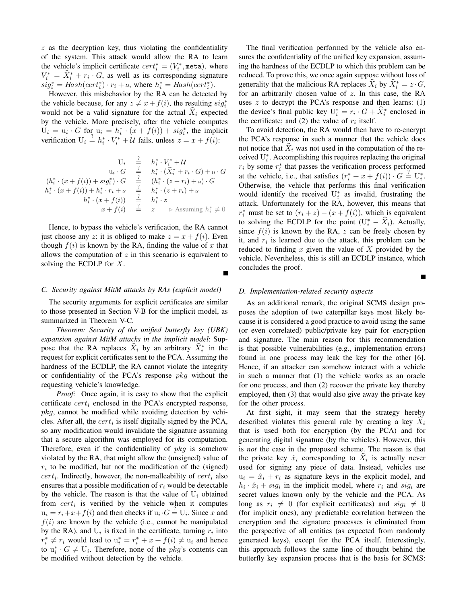$z$  as the decryption key, thus violating the confidentiality of the system. This attack would allow the RA to learn the vehicle's implicit certificate  $cert_i^* = (V_i^*, \text{meta})$ , where  $V_i^* = \hat{X}_i^* + r_i \cdot G$ , as well as its corresponding signature  $sig_i^* = Hash(cert_i^*) \cdot r_i + u$ , where  $h_i^* = Hash(cert_i^*)$ .

However, this misbehavior by the RA can be detected by the vehicle because, for any  $z \neq x+f(i)$ , the resulting  $sig_i^*$ would not be a valid signature for the actual  $\hat{X}_i$  expected by the vehicle. More precisely, after the vehicle computes  $U_i = u_i \cdot G$  for  $u_i = h_i^* \cdot (x + f(i)) + sig_i^*$ , the implicit verification  $U_i \stackrel{?}{=} h_i^* \cdot V_i^* + \mathcal{U}$  fails, unless  $z = x + f(i)$ :

$$
U_i \quad \frac{2}{7} \quad h_i^* \cdot V_i^* + \mathcal{U}
$$
  
\n
$$
u_i \cdot G \quad \frac{2}{7} \quad h_i^* \cdot (\hat{X}_i^* + r_i \cdot G) + u \cdot G
$$
  
\n
$$
(h_i^* \cdot (x + f(i)) + sig_i^*) \cdot G \quad \frac{2}{7} \quad (h_i^* \cdot (z + r_i) + u) \cdot G
$$
  
\n
$$
h_i^* \cdot (x + f(i)) + h_i^* \cdot r_i + u \quad \frac{2}{7} \quad h_i^* \cdot (z + r_i) + u
$$
  
\n
$$
h_i^* \cdot (x + f(i)) \quad \frac{2}{7} \quad h_i^* \cdot z
$$
  
\n
$$
x + f(i) \quad \frac{2}{7} \quad z \quad \triangleright \text{Assuming } h_i^* \neq 0
$$

Hence, to bypass the vehicle's verification, the RA cannot just choose any z: it is obliged to make  $z = x + f(i)$ . Even though  $f(i)$  is known by the RA, finding the value of x that allows the computation of  $z$  in this scenario is equivalent to solving the ECDLP for  $X$ .

# *C. Security against MitM attacks by RAs (explicit model)*

The security arguments for explicit certificates are similar to those presented in Section V-B for the implicit model, as summarized in Theorem V-C.

*Theorem: Security of the unified butterfly key (UBK) expansion against MitM attacks in the implicit model*: Suppose that the RA replaces  $\hat{X}_i$  by an arbitrary  $\hat{X}_i^*$  in the request for explicit certificates sent to the PCA. Assuming the hardness of the ECDLP, the RA cannot violate the integrity or confidentiality of the PCA's response  $pkg$  without the requesting vehicle's knowledge.

*Proof:* Once again, it is easy to show that the explicit certificate  $cert_i$  enclosed in the PCA's encrypted response,  $pkq$ , cannot be modified while avoiding detection by vehicles. After all, the  $cert_i$  is itself digitally signed by the PCA, so any modification would invalidate the signature assuming that a secure algorithm was employed for its computation. Therefore, even if the confidentiality of  $pkg$  is somehow violated by the RA, that might allow the (unsigned) value of  $r_i$  to be modified, but not the modification of the (signed)  $cert_i$ . Indirectly, however, the non-malleability of  $cert_i$  also ensures that a possible modification of  $r_i$  would be detectable by the vehicle. The reason is that the value of  $U_i$  obtained from  $cert_i$  is verified by the vehicle when it computes  $u_i = r_i + x + f(i)$  and then checks if  $u_i \cdot G \stackrel{?}{=} U_i$ . Since x and  $f(i)$  are known by the vehicle (i.e., cannot be manipulated by the RA), and  $U_i$  is fixed in the certificate, turning  $r_i$  into  $r_i^* \neq r_i$  would lead to  $u_i^* = r_i^* + x + f(i) \neq u_i$  and hence to  $u_i^* \cdot G \neq U_i$ . Therefore, none of the *pkg*'s contents can be modified without detection by the vehicle.

The final verification performed by the vehicle also ensures the confidentiality of the unified key expansion, assuming the hardness of the ECDLP to which this problem can be reduced. To prove this, we once again suppose without loss of generality that the malicious RA replaces  $\hat{X}_i$  by  $\hat{X}_i^* = z \cdot G$ , for an arbitrarily chosen value of z. In this case, the RA uses  $z$  to decrypt the PCA's response and then learns: (1) the device's final public key  $U_i^* = r_i \cdot G + \hat{X}_i^*$  enclosed in the certificate; and (2) the value of  $r_i$  itself.

To avoid detection, the RA would then have to re-encrypt the PCA's response in such a manner that the vehicle does not notice that  $\hat{X}_i$  was not used in the computation of the received  $U_i^*$ . Accomplishing this requires replacing the original  $r_i$  by some  $r_i^*$  that passes the verification process performed at the vehicle, i.e., that satisfies  $(r_i^* + x + f(i)) \cdot G \stackrel{?}{=} U_i^*$ . Otherwise, the vehicle that performs this final verification would identify the received  $U_i^*$  as invalid, frustrating the attack. Unfortunately for the RA, however, this means that  $r_i^*$  must be set to  $(r_i + z) - (x + f(i))$ , which is equivalent to solving the ECDLP for the point  $(U_i^* - \hat{X}_i)$ . Actually, since  $f(i)$  is known by the RA, z can be freely chosen by it, and  $r_i$  is learned due to the attack, this problem can be reduced to finding x given the value of X provided by the vehicle. Nevertheless, this is still an ECDLP instance, which concludes the proof.

# *D. Implementation-related security aspects*

As an additional remark, the original SCMS design proposes the adoption of two caterpillar keys most likely because it is considered a good practice to avoid using the same (or even correlated) public/private key pair for encryption and signature. The main reason for this recommendation is that possible vulnerabilities (e.g., implementation errors) found in one process may leak the key for the other [6]. Hence, if an attacker can somehow interact with a vehicle in such a manner that (1) the vehicle works as an oracle for one process, and then (2) recover the private key thereby employed, then (3) that would also give away the private key for the other process.

At first sight, it may seem that the strategy hereby described violates this general rule by creating a key  $X_i$ that is used both for encryption (by the PCA) and for generating digital signature (by the vehicles). However, this is *not* the case in the proposed scheme. The reason is that the private key  $\hat{x}_i$  corresponding to  $X_i$  is actually never used for signing any piece of data. Instead, vehicles use  $u_i = \hat{x}_i + r_i$  as signature keys in the explicit model, and  $h_i \cdot \hat{x}_i + sig_i$  in the implicit model, where  $r_i$  and  $sig_i$  are secret values known only by the vehicle and the PCA. As long as  $r_i \neq 0$  (for explicit certificates) and  $sig_i \neq 0$ (for implicit ones), any predictable correlation between the encryption and the signature processes is eliminated from the perspective of all entities (as expected from randomly generated keys), except for the PCA itself. Interestingly, this approach follows the same line of thought behind the butterfly key expansion process that is the basis for SCMS: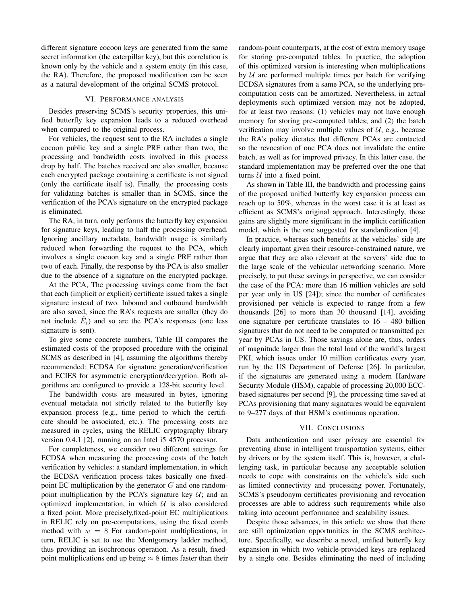different signature cocoon keys are generated from the same secret information (the caterpillar key), but this correlation is known only by the vehicle and a system entity (in this case, the RA). Therefore, the proposed modification can be seen as a natural development of the original SCMS protocol.

# VI. PERFORMANCE ANALYSIS

Besides preserving SCMS's security properties, this unified butterfly key expansion leads to a reduced overhead when compared to the original process.

For vehicles, the request sent to the RA includes a single cocoon public key and a single PRF rather than two, the processing and bandwidth costs involved in this process drop by half. The batches received are also smaller, because each encrypted package containing a certificate is not signed (only the certificate itself is). Finally, the processing costs for validating batches is smaller than in SCMS, since the verification of the PCA's signature on the encrypted package is eliminated.

The RA, in turn, only performs the butterfly key expansion for signature keys, leading to half the processing overhead. Ignoring ancillary metadata, bandwidth usage is similarly reduced when forwarding the request to the PCA, which involves a single cocoon key and a single PRF rather than two of each. Finally, the response by the PCA is also smaller due to the absence of a signature on the encrypted package.

At the PCA, The processing savings come from the fact that each (implicit or explicit) certificate issued takes a single signature instead of two. Inbound and outbound bandwidth are also saved, since the RA's requests are smaller (they do not include  $\hat{E}_i$ ) and so are the PCA's responses (one less signature is sent).

To give some concrete numbers, Table III compares the estimated costs of the proposed procedure with the original SCMS as described in [4], assuming the algorithms thereby recommended: ECDSA for signature generation/verification and ECIES for asymmetric encryption/decryption. Both algorithms are configured to provide a 128-bit security level.

The bandwidth costs are measured in bytes, ignoring eventual metadata not strictly related to the butterfly key expansion process (e.g., time period to which the certificate should be associated, etc.). The processing costs are measured in cycles, using the RELIC cryptography library version 0.4.1 [2], running on an Intel i5 4570 processor.

For completeness, we consider two different settings for ECDSA when measuring the processing costs of the batch verification by vehicles: a standard implementation, in which the ECDSA verification process takes basically one fixedpoint EC multiplication by the generator  $G$  and one randompoint multiplication by the PCA's signature key  $U$ ; and an optimized implementation, in which  $U$  is also considered a fixed point. More precisely,fixed-point EC multiplications in RELIC rely on pre-computations, using the fixed comb method with  $w = 8$  For random-point multiplications, in turn, RELIC is set to use the Montgomery ladder method, thus providing an isochronous operation. As a result, fixedpoint multiplications end up being  $\approx 8$  times faster than their

random-point counterparts, at the cost of extra memory usage for storing pre-computed tables. In practice, the adoption of this optimized version is interesting when multiplications by  $U$  are performed multiple times per batch for verifying ECDSA signatures from a same PCA, so the underlying precomputation costs can be amortized. Nevertheless, in actual deployments such optimized version may not be adopted, for at least two reasons: (1) vehicles may not have enough memory for storing pre-computed tables; and (2) the batch verification may involve multiple values of  $U$ , e.g., because the RA's policy dictates that different PCAs are contacted so the revocation of one PCA does not invalidate the entire batch, as well as for improved privacy. In this latter case, the standard implementation may be preferred over the one that turns  $U$  into a fixed point.

As shown in Table III, the bandwidth and processing gains of the proposed unified butterfly key expansion process can reach up to 50%, whereas in the worst case it is at least as efficient as SCMS's original approach. Interestingly, those gains are slightly more significant in the implicit certification model, which is the one suggested for standardization [4].

In practice, whereas such benefits at the vehicles' side are clearly important given their resource-constrained nature, we argue that they are also relevant at the servers' side due to the large scale of the vehicular networking scenario. More precisely, to put these savings in perspective, we can consider the case of the PCA: more than 16 million vehicles are sold per year only in US [24]); since the number of certificates provisioned per vehicle is expected to range from a few thousands [26] to more than 30 thousand [14], avoiding one signature per certificate translates to 16 – 480 billion signatures that do not need to be computed or transmitted per year by PCAs in US. Those savings alone are, thus, orders of magnitude larger than the total load of the world's largest PKI, which issues under 10 million certificates every year, run by the US Department of Defense [26]. In particular, if the signatures are generated using a modern Hardware Security Module (HSM), capable of processing 20,000 ECCbased signatures per second [9], the processing time saved at PCAs provisioning that many signatures would be equivalent to 9–277 days of that HSM's continuous operation.

# VII. CONCLUSIONS

Data authentication and user privacy are essential for preventing abuse in intelligent transportation systems, either by drivers or by the system itself. This is, however, a challenging task, in particular because any acceptable solution needs to cope with constraints on the vehicle's side such as limited connectivity and processing power. Fortunately, SCMS's pseudonym certificates provisioning and revocation processes are able to address such requirements while also taking into account performance and scalability issues.

Despite those advances, in this article we show that there are still optimization opportunities in the SCMS architecture. Specifically, we describe a novel, unified butterfly key expansion in which two vehicle-provided keys are replaced by a single one. Besides eliminating the need of including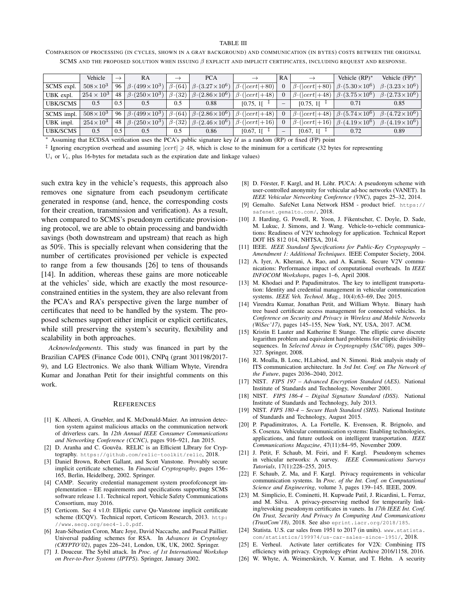# TABLE III

COMPARISON OF PROCESSING (IN CYCLES, SHOWN IN A GRAY BACKGROUND) AND COMMUNICATION (IN BYTES) COSTS BETWEEN THE ORIGINAL SCMS AND THE PROPOSED SOLUTION WHEN ISSUING  $\beta$  EXPLICIT AND IMPLICIT CERTIFICATES, INCLUDING REQUEST AND RESPONSE.

|                 | Vehicle             | $\rightarrow$ | RA                                      | $\rightarrow$ | <b>PCA</b>                                                                      |                             | RA                       |                             | Vehicle $(RP)^*$                          | Vehicle $(FP)^*$                         |
|-----------------|---------------------|---------------|-----------------------------------------|---------------|---------------------------------------------------------------------------------|-----------------------------|--------------------------|-----------------------------|-------------------------------------------|------------------------------------------|
| SCMS expl.      | $508 \times 10^{3}$ | 96            | $\beta$ (499 $\times$ 10 <sup>3</sup> ) | $\beta(64)$   | $\beta$ (3.27 $\times$ 10 <sup>6</sup> )                                        | $\beta \cdot ( cert  + 80)$ |                          | $\beta \cdot ( cert  + 80)$ | $\beta$ (5.30 $\times$ 10 <sup>6</sup> )  | $\beta$ (3.23 $\times$ 10 <sup>6</sup> ) |
| UBK expl.       | $254 \times 10^{3}$ | 48            | $\beta$ (250 $\times$ 10 <sup>3</sup> ) | $\beta$ (32)  | $\beta$ (2.86 $\times$ 10 <sup>6</sup> )                                        | $\beta \cdot ( cert  + 48)$ |                          | $\beta \cdot ( cert  + 48)$ | $\beta$ (3.75 $\times$ 10 <sup>6</sup> )  | $\beta$ (2.73 $\times$ 10 <sup>6</sup> ) |
| <b>UBK/SCMS</b> | 0.5                 | 0.5           | 0.5                                     | 0.5           | 0.88                                                                            | $[0.75, 1]$ <sup>T</sup>    | $\overline{\phantom{a}}$ | $[0.75, 1]$ <sup>T</sup>    | 0.71                                      | 0.85                                     |
| SCMS impl.      | $508 \times 10^{3}$ | 96            | $\beta$ (499 $\times$ 10 <sup>3</sup> ) |               | $\beta \cdot (64)   \beta \cdot (2.86 \times 10^6)   \beta \cdot ( cert  + 48)$ |                             |                          | $\beta \cdot ( cert  + 48)$ | $\left \beta\cdot(5.74\times10^6)\right $ | $\beta$ (4.72 × 10 <sup>6</sup> )        |
| UBK impl.       | $254 \times 10^3$   | 48            | $\beta$ (250 $\times$ 10 <sup>3</sup> ) | $\beta$ (32)  | $\beta$ (2.46 $\times$ 10 <sup>6</sup> )                                        | $\beta \cdot ( cert  + 16)$ |                          | $\beta \cdot ( cert  + 16)$ | $\beta$ (4.19 $\times$ 10 <sup>6</sup> )  | $\beta$ (4.19 $\times$ 10 <sup>6</sup> ) |
| <b>UBK/SCMS</b> | 0.5                 | 0.5           | 0.5                                     | 0.5           | 0.86                                                                            | $[0.67, 11$ <sup>T</sup>    |                          | [0.67, 1]                   | 0.72                                      | 0.89                                     |

<sup>∗</sup> Assuming that ECDSA verification uses the PCA's public signature key U as a random (RP) or fixed (FP) point

<sup>‡</sup> Ignoring encryption overhead and assuming  $|cert| \ge 48$ , which is close to the minimum for a certificate (32 bytes for representing

 $U_i$  or  $V_i$ , plus 16-bytes for metadata such as the expiration date and linkage values)

such extra key in the vehicle's requests, this approach also removes one signature from each pseudonym certificate generated in response (and, hence, the corresponding costs for their creation, transmission and verification). As a result, when compared to SCMS's pseudonym certificate provisioning protocol, we are able to obtain processing and bandwidth savings (both downstream and upstream) that reach as high as 50%. This is specially relevant when considering that the number of certificates provisioned per vehicle is expected to range from a few thousands [26] to tens of thousands [14]. In addition, whereas these gains are more noticeable at the vehicles' side, which are exactly the most resourceconstrained entities in the system, they are also relevant from the PCA's and RA's perspective given the large number of certificates that need to be handled by the system. The proposed schemes support either implicit or explicit certificates, while still preserving the system's security, flexibility and scalability in both approaches.

*Acknowledgements*. This study was financed in part by the Brazilian CAPES (Finance Code 001), CNPq (grant 301198/2017- 9), and LG Electronics. We also thank William Whyte, Virendra Kumar and Jonathan Petit for their insightful comments on this work.

#### **REFERENCES**

- [1] K. Alheeti, A. Gruebler, and K. McDonald-Maier. An intrusion detection system against malicious attacks on the communication network of driverless cars. In *12th Annual IEEE Consumer Communications and Networking Conference (CCNC)*, pages 916–921, Jan 2015.
- [2] D. Aranha and C. Gouvêa. RELIC is an Efficient LIbrary for Cryptography. https://github.com/relic-toolkit/relic, 2018.
- [3] Daniel Brown, Robert Gallant, and Scott Vanstone. Provably secure implicit certificate schemes. In *Financial Cryptography*, pages 156– 165, Berlin, Heidelberg, 2002. Springer.
- [4] CAMP. Security credential management system proofofconcept implementation – EE requirements and specifications supporting SCMS software release 1.1. Technical report, Vehicle Safety Communications Consortium, may 2016.
- [5] Certicom. Sec 4 v1.0: Elliptic curve Qu-Vanstone implicit certificate scheme (ECQV). Technical report, Certicom Research, 2013. http: //www.secg.org/sec4-1.0.pdf.
- [6] Jean-Sébastien Coron, Marc Joye, David Naccache, and Pascal Paillier. Universal padding schemes for RSA. In *Advances in Cryptology (CRYPTO'02)*, pages 226–241, London, UK, UK, 2002. Springer.
- [7] J. Douceur. The Sybil attack. In *Proc. of 1st International Workshop on Peer-to-Peer Systems (IPTPS)*. Springer, January 2002.
- [8] D. Förster, F. Kargl, and H. Löhr. PUCA: A pseudonym scheme with user-controlled anonymity for vehicular ad-hoc networks (VANET). In *IEEE Vehicular Networking Conference (VNC)*, pages 25–32, 2014.
- [9] Gemalto. SafeNet Luna Network HSM product brief. https:// safenet.gemalto.com/, 2018.
- [10] J. Harding, G. Powell, R. Yoon, J. Fikentscher, C. Doyle, D. Sade, M. Lukuc, J. Simons, and J. Wang. Vehicle-to-vehicle communications: Readiness of V2V technology for application. Technical Report DOT HS 812 014, NHTSA, 2014.
- [11] IEEE. *IEEE Standard Specifications for Public-Key Cryptography – Amendment 1: Additional Techniques*. IEEE Computer Society, 2004.
- [12] A. Iyer, A. Kherani, A. Rao, and A. Karnik. Secure V2V communications: Performance impact of computational overheads. In *IEEE INFOCOM Workshops*, pages 1–6, April 2008.
- [13] M. Khodaei and P. Papadimitratos. The key to intelligent transportation: Identity and credential management in vehicular communication systems. *IEEE Veh. Technol. Mag.*, 10(4):63–69, Dec 2015.
- [14] Virendra Kumar, Jonathan Petit, and William Whyte. Binary hash tree based certificate access management for connected vehicles. In *Conference on Security and Privacy in Wireless and Mobile Networks (WiSec'17)*, pages 145–155, New York, NY, USA, 2017. ACM.
- [15] Kristin E Lauter and Katherine E Stange. The elliptic curve discrete logarithm problem and equivalent hard problems for elliptic divisibility sequences. In *Selected Areas in Cryptography (SAC'08)*, pages 309– 327. Springer, 2008.
- [16] R. Moalla, B. Lonc, H.Labiod, and N. Simoni. Risk analysis study of ITS communication architecture. In *3rd Int. Conf. on The Network of the Future*, pages 2036–2040, 2012.
- [17] NIST. *FIPS 197 Advanced Encryption Standard (AES)*. National Institute of Standards and Technology, November 2001.
- [18] NIST. *FIPS 186-4 Digital Signature Standard (DSS)*. National Institute of Standards and Technology, July 2013.
- [19] NIST. *FIPS 180-4 Secure Hash Standard (SHS)*. National Institute of Standards and Technology, August 2015.
- [20] P. Papadimitratos, A. La Fortelle, K. Evenssen, R. Brignolo, and S. Cosenza. Vehicular communication systems: Enabling technologies, applications, and future outlook on intelligent transportation. *IEEE Communications Magazine*, 47(11):84–95, November 2009.
- [21] J. Petit, F. Schaub, M. Feiri, and F. Kargl. Pseudonym schemes in vehicular networks: A survey. *IEEE Communications Surveys Tutorials*, 17(1):228–255, 2015.
- [22] F. Schaub, Z. Ma, and F. Kargl. Privacy requirements in vehicular communication systems. In *Proc. of the Int. Conf. on Computational Science and Engineering*, volume 3, pages 139–145. IEEE, 2009.
- [23] M. Simplicio, E. Cominetti, H. Kupwade Patil, J. Ricardini, L. Ferraz, and M. Silva. A privacy-preserving method for temporarily linking/revoking pseudonym certificates in vanets. In *17th IEEE Int. Conf. On Trust, Security And Privacy In Computing And Communications (TrustCom'18)*, 2018. See also eprint.iacr.org/2018/185.
- [24] Statista. U.S. car sales from 1951 to 2017 (in units). www.statista. com/statistics/199974/us-car-sales-since-1951/, 2018.
- [25] E. Verheul. Activate later certificates for V2X: Combining ITS efficiency with privacy. Cryptology ePrint Archive 2016/1158, 2016.
- [26] W. Whyte, A. Weimerskirch, V. Kumar, and T. Hehn. A security